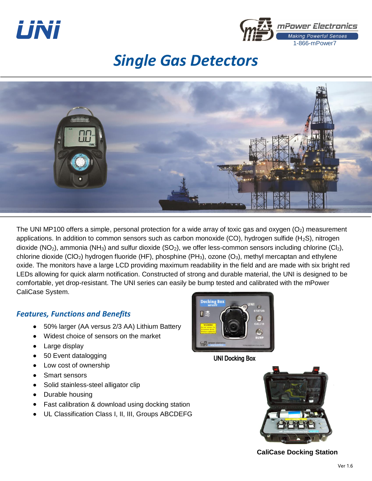



# *Single Gas Detectors*



The UNI MP100 offers a simple, personal protection for a wide array of toxic gas and oxygen  $(O<sub>2</sub>)$  measurement applications. In addition to common sensors such as carbon monoxide (CO), hydrogen sulfide  $(H_2S)$ , nitrogen dioxide (NO<sub>2</sub>), ammonia (NH<sub>3</sub>) and sulfur dioxide (SO<sub>2</sub>), we offer less-common sensors including chlorine (Cl<sub>2</sub>), chlorine dioxide (ClO<sub>2</sub>) hydrogen fluoride (HF), phosphine (PH<sub>3</sub>), ozone (O<sub>3</sub>), methyl mercaptan and ethylene oxide. The monitors have a large LCD providing maximum readability in the field and are made with six bright red LEDs allowing for quick alarm notification. Constructed of strong and durable material, the UNI is designed to be comfortable, yet drop-resistant. The UNI series can easily be bump tested and calibrated with the mPower CaliCase System.

## *Features, Functions and Benefits*

- 50% larger (AA versus 2/3 AA) Lithium Battery
- Widest choice of sensors on the market
- Large display
- 50 Event datalogging
- Low cost of ownership
- Smart sensors
- Solid stainless-steel alligator clip
- Durable housing
- Fast calibration & download using docking station
- UL Classification Class I, II, III, Groups ABCDEFG



UNI Docking Box



**CaliCase Docking Station**